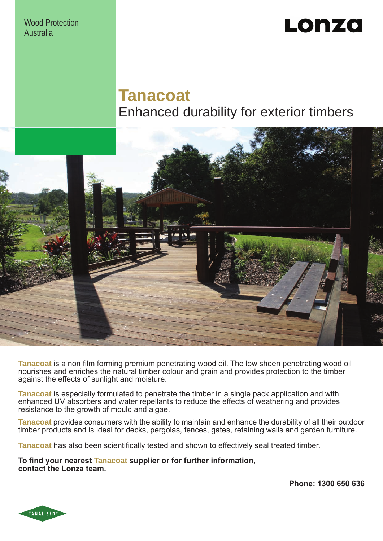Wood Protection Australia

# Lonza

# **Tanacoat** Enhanced durability for exterior timbers



**Tanacoat** is a non film forming premium penetrating wood oil. The low sheen penetrating wood oil nourishes and enriches the natural timber colour and grain and provides protection to the timber against the effects of sunlight and moisture.

**Tanacoat** is especially formulated to penetrate the timber in a single pack application and with enhanced UV absorbers and water repellants to reduce the effects of weathering and provides resistance to the growth of mould and algae.

**Tanacoat** provides consumers with the ability to maintain and enhance the durability of all their outdoor timber products and is ideal for decks, pergolas, fences, gates, retaining walls and garden furniture.

**Tanacoat** has also been scientifically tested and shown to effectively seal treated timber.

**To find your nearest Tanacoat supplier or for further information, contact the Lonza team.**

**Phone: 1300 650 636**